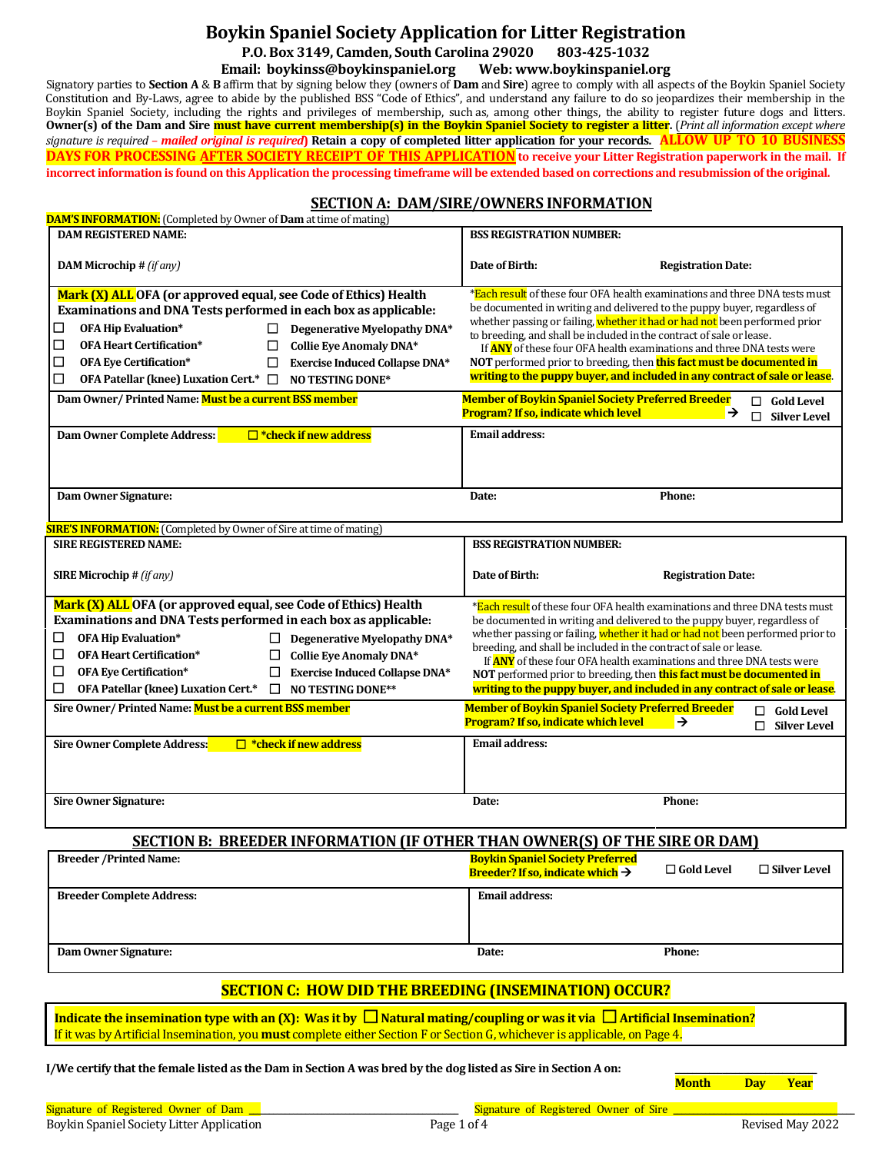# **Boykin Spaniel Society Application for Litter Registration P.O. Box 3149, Camden, South Carolina 29020 803-425-1032**

# **Email: boykinss@boykinspaniel.org Web: www.boykinspaniel.org**

Signatory parties to **Section A** & **B** affirm that by signing below they (owners of **Dam** and **Sire**) agree to comply with all aspects of the Boykin Spaniel Society Constitution and By-Laws, agree to abide by the published BSS "Code of Ethics", and understand any failure to do so jeopardizes their membership in the Boykin Spaniel Society, including the rights and privileges of membership, such as, among other things, the ability to register future dogs and litters. **Owner(s) of the Dam and Sire must have current membership(s) in the Boykin Spaniel Society to register a litter.** (*Print all information except where signature is required – mailed original is required***) Retain a copy of completed litter application for your records. ALLOW UP TO 10 BUSINESS DAYS FOR PROCESSING AFTER SOCIETY RECEIPT OF THIS APPLICATION to receive your Litter Registration paperwork in the mail. If incorrect information is found on this Application the processing timeframe will be extended based on corrections and resubmission of the original.**

# **SECTION A: DAM/SIRE/OWNERS INFORMATION**

| <b>DAM'S INFORMATION:</b> (Completed by Owner of <b>Dam</b> at time of mating)                                                                                                                                                                                                                                                                                                                                                                                            |                                                                                                                                                                                                                                                                                                                                                                                                |                                                                                                                                                                                                                                                                                                                            |  |  |
|---------------------------------------------------------------------------------------------------------------------------------------------------------------------------------------------------------------------------------------------------------------------------------------------------------------------------------------------------------------------------------------------------------------------------------------------------------------------------|------------------------------------------------------------------------------------------------------------------------------------------------------------------------------------------------------------------------------------------------------------------------------------------------------------------------------------------------------------------------------------------------|----------------------------------------------------------------------------------------------------------------------------------------------------------------------------------------------------------------------------------------------------------------------------------------------------------------------------|--|--|
| <b>DAM REGISTERED NAME:</b>                                                                                                                                                                                                                                                                                                                                                                                                                                               | <b>BSS REGISTRATION NUMBER:</b>                                                                                                                                                                                                                                                                                                                                                                |                                                                                                                                                                                                                                                                                                                            |  |  |
| <b>DAM Microchip #</b> (if any)                                                                                                                                                                                                                                                                                                                                                                                                                                           | Date of Birth:                                                                                                                                                                                                                                                                                                                                                                                 | <b>Registration Date:</b>                                                                                                                                                                                                                                                                                                  |  |  |
| Mark (X) ALL OFA (or approved equal, see Code of Ethics) Health<br>Examinations and DNA Tests performed in each box as applicable:<br><b>OFA Hip Evaluation*</b><br>Degenerative Myelopathy DNA*<br>ப<br>$\Box$<br><b>OFA Heart Certification*</b><br>□<br>Collie Eye Anomaly DNA*<br>□<br><b>OFA Eye Certification*</b><br><b>Exercise Induced Collapse DNA*</b><br>OFA Patellar (knee) Luxation Cert.* □<br><b>NO TESTING DONE*</b><br>□                                | be documented in writing and delivered to the puppy buyer, regardless of<br>whether passing or failing, whether it had or had not been performed prior<br>to breeding, and shall be included in the contract of sale or lease.<br>If <b>ANY</b> of these four OFA health examinations and three DNA tests were<br>NOT performed prior to breeding, then <b>this fact must be documented in</b> | *Each result of these four OFA health examinations and three DNA tests must<br>writing to the puppy buyer, and included in any contract of sale or lease.                                                                                                                                                                  |  |  |
| Dam Owner/Printed Name: Must be a current BSS member                                                                                                                                                                                                                                                                                                                                                                                                                      | <b>Member of Boykin Spaniel Society Preferred Breeder</b><br>Program? If so, indicate which level                                                                                                                                                                                                                                                                                              | $\Box$ Gold Level<br>→<br>П<br><b>Silver Level</b>                                                                                                                                                                                                                                                                         |  |  |
| $\Box$ *check if new address<br><b>Dam Owner Complete Address:</b>                                                                                                                                                                                                                                                                                                                                                                                                        | <b>Email address:</b>                                                                                                                                                                                                                                                                                                                                                                          |                                                                                                                                                                                                                                                                                                                            |  |  |
| Dam Owner Signature:                                                                                                                                                                                                                                                                                                                                                                                                                                                      | Date:                                                                                                                                                                                                                                                                                                                                                                                          | Phone:                                                                                                                                                                                                                                                                                                                     |  |  |
| <b>SIRE'S INFORMATION:</b> (Completed by Owner of Sire at time of mating)                                                                                                                                                                                                                                                                                                                                                                                                 |                                                                                                                                                                                                                                                                                                                                                                                                |                                                                                                                                                                                                                                                                                                                            |  |  |
| <b>SIRE REGISTERED NAME:</b>                                                                                                                                                                                                                                                                                                                                                                                                                                              | <b>BSS REGISTRATION NUMBER:</b>                                                                                                                                                                                                                                                                                                                                                                |                                                                                                                                                                                                                                                                                                                            |  |  |
| <b>SIRE Microchip # (if any)</b>                                                                                                                                                                                                                                                                                                                                                                                                                                          | Date of Birth:                                                                                                                                                                                                                                                                                                                                                                                 | <b>Registration Date:</b>                                                                                                                                                                                                                                                                                                  |  |  |
| Mark (X) ALL OFA (or approved equal, see Code of Ethics) Health<br>Examinations and DNA Tests performed in each box as applicable:<br>OFA Hip Evaluation*<br>⊔<br>Degenerative Myelopathy DNA*<br>ப<br><b>OFA Heart Certification*</b><br>□<br><b>Collie Eye Anomaly DNA*</b><br>$\Box$<br>□<br><b>OFA Eye Certification*</b><br><b>Exercise Induced Collapse DNA*</b><br>$\Box$<br>□<br><b>OFA Patellar (knee) Luxation Cert.*</b><br>$\Box$<br><b>NO TESTING DONE**</b> | be documented in writing and delivered to the puppy buyer, regardless of<br>breeding, and shall be included in the contract of sale or lease.<br>NOT performed prior to breeding, then this fact must be documented in                                                                                                                                                                         | *Each result of these four OFA health examinations and three DNA tests must<br>whether passing or failing, whether it had or had not been performed prior to<br>If <b>ANY</b> of these four OFA health examinations and three DNA tests were<br>writing to the puppy buyer, and included in any contract of sale or lease. |  |  |
| Sire Owner/ Printed Name: Must be a current BSS member                                                                                                                                                                                                                                                                                                                                                                                                                    | <b>Member of Boykin Spaniel Society Preferred Breeder</b><br>Program? If so, indicate which level                                                                                                                                                                                                                                                                                              | $\Box$ Gold Level<br>$\rightarrow$<br><b>Silver Level</b><br>П                                                                                                                                                                                                                                                             |  |  |
| Sire Owner Complete Address:<br>$\Box$ *check if new address                                                                                                                                                                                                                                                                                                                                                                                                              | <b>Email address:</b>                                                                                                                                                                                                                                                                                                                                                                          |                                                                                                                                                                                                                                                                                                                            |  |  |
| <b>Sire Owner Signature:</b>                                                                                                                                                                                                                                                                                                                                                                                                                                              | Date:                                                                                                                                                                                                                                                                                                                                                                                          | Phone:                                                                                                                                                                                                                                                                                                                     |  |  |
| <b>SECTION B: BREEDER INFORMATION (IF OTHER THAN OWNER(S) OF THE SIRE OR DAM)</b>                                                                                                                                                                                                                                                                                                                                                                                         |                                                                                                                                                                                                                                                                                                                                                                                                |                                                                                                                                                                                                                                                                                                                            |  |  |
| <b>Breeder /Printed Name:</b>                                                                                                                                                                                                                                                                                                                                                                                                                                             | <b>Boykin Spaniel Society Preferred</b><br>Breeder? If so, indicate which $\rightarrow$                                                                                                                                                                                                                                                                                                        | $\Box$ Gold Level<br>$\sqcup$ Silver Level                                                                                                                                                                                                                                                                                 |  |  |
| <b>Breeder Complete Address:</b>                                                                                                                                                                                                                                                                                                                                                                                                                                          | <b>Email address:</b>                                                                                                                                                                                                                                                                                                                                                                          |                                                                                                                                                                                                                                                                                                                            |  |  |
| Dam Owner Signature:                                                                                                                                                                                                                                                                                                                                                                                                                                                      | Date:                                                                                                                                                                                                                                                                                                                                                                                          | Phone:                                                                                                                                                                                                                                                                                                                     |  |  |
| <b>SECTION C: HOW DID THE BREEDING (INSEMINATION) OCCUR?</b>                                                                                                                                                                                                                                                                                                                                                                                                              |                                                                                                                                                                                                                                                                                                                                                                                                |                                                                                                                                                                                                                                                                                                                            |  |  |
| Indicate the insemination type with an (X): Was it by $\Box$ Natural mating/coupling or was it via $\Box$ Artificial Insemination?<br>If it was by Artificial Insemination, you must complete either Section F or Section G, whichever is applicable, on Page 4.                                                                                                                                                                                                          |                                                                                                                                                                                                                                                                                                                                                                                                |                                                                                                                                                                                                                                                                                                                            |  |  |
| I/We certify that the female listed as the Dam in Section A was bred by the dog listed as Sire in Section A on:<br><b>Month</b><br>Year<br><b>Day</b>                                                                                                                                                                                                                                                                                                                     |                                                                                                                                                                                                                                                                                                                                                                                                |                                                                                                                                                                                                                                                                                                                            |  |  |
| Signature of Registered Owner of Dam _                                                                                                                                                                                                                                                                                                                                                                                                                                    | Signature of Registered Owner of Sire _                                                                                                                                                                                                                                                                                                                                                        |                                                                                                                                                                                                                                                                                                                            |  |  |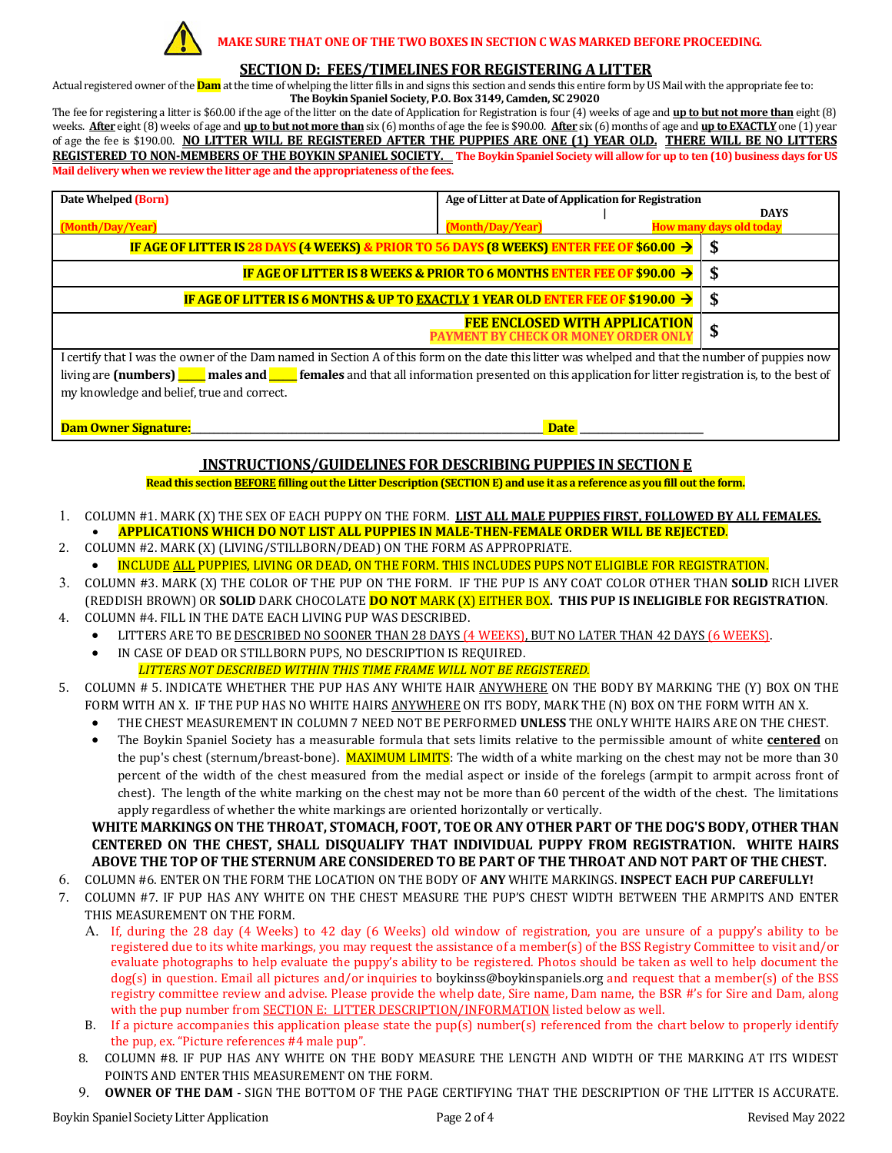

#### **MAKE SURE THAT ONE OF THE TWO BOXES IN SECTION C WAS MARKED BEFORE PROCEEDING**.

#### **SECTION D: FEES/TIMELINES FOR REGISTERING A LITTER**

Actual registered owner of the **Dam** at the time of whelping the litter fills in and signs this section and sends this entire form by US Mail with the appropriate fee to: **The Boykin Spaniel Society, P.O. Box 3149, Camden, SC 29020**

The fee for registering a litter is \$60.00 if the age of the litter on the date of Application for Registration is four (4) weeks of age and **up to but not more than** eight (8) weeks. **After** eight (8) weeks of age and **up to but not more than** six (6) months of age the fee is \$90.00. **After** six (6) months of age and **up to EXACTLY** one (1) year of age the fee is \$190.00. **NO LITTER WILL BE REGISTERED AFTER THE PUPPIES ARE ONE (1) YEAR OLD. THERE WILL BE NO LITTERS REGISTERED TO NON-MEMBERS OF THE BOYKIN SPANIEL SOCIETY. The Boykin Spaniel Society will allow for up to ten (10) business days for US Mail delivery when we review the litter age and the appropriateness of the fees.** 

| Date Whelped (Born)                                                                                                                              | Age of Litter at Date of Application for Registration |  |                                |
|--------------------------------------------------------------------------------------------------------------------------------------------------|-------------------------------------------------------|--|--------------------------------|
|                                                                                                                                                  |                                                       |  | <b>DAYS</b>                    |
|                                                                                                                                                  |                                                       |  |                                |
| (Month/Day/Year)                                                                                                                                 | (Month/Day/Year)                                      |  | <b>How many days old today</b> |
|                                                                                                                                                  |                                                       |  |                                |
| IF AGE OF LITTER IS 28 DAYS (4 WEEKS) & PRIOR TO 56 DAYS (8 WEEKS) ENTER FEE OF \$60.00 $\rightarrow$                                            |                                                       |  |                                |
|                                                                                                                                                  |                                                       |  |                                |
| IF AGE OF LITTER IS 8 WEEKS & PRIOR TO 6 MONTHS ENTER FEE OF \$90.00 $\rightarrow$                                                               |                                                       |  |                                |
| IF AGE OF LITTER IS 6 MONTHS & UP TO EXACTLY 1 YEAR OLD ENTER FEE OF \$190.00 $\rightarrow$                                                      |                                                       |  |                                |
|                                                                                                                                                  |                                                       |  |                                |
|                                                                                                                                                  | <b>FEE ENCLOSED WITH APPLICATION</b>                  |  |                                |
|                                                                                                                                                  | <b>PAYMENT BY CHECK OR MONEY ORDER ONLY</b>           |  | ъ                              |
|                                                                                                                                                  |                                                       |  |                                |
| I certify that I was the owner of the Dam named in Section A of this form on the date this litter was whelped and that the number of puppies now |                                                       |  |                                |

I certify that I was the owner of the Dam named in Section A of this form on the date this litter was whelped and that the number of puppies now living are (numbers) **\_\_\_\_** males and **\_\_\_\_** females and that all information presented on this application for litter registration is, to the best of my knowledge and belief, true and correct.

**Dam Owner Signature:\_\_\_\_\_\_\_\_\_\_\_\_\_\_\_\_\_\_\_\_\_\_\_\_\_\_\_\_\_\_\_\_\_\_\_\_\_\_\_\_\_\_\_\_\_\_\_\_\_\_\_\_\_\_\_\_\_\_\_\_\_\_\_\_\_\_\_\_\_\_\_\_\_\_\_\_\_ Date \_\_\_\_\_\_\_\_\_\_\_\_\_\_\_\_\_\_\_\_\_\_\_\_\_\_\_**

# **INSTRUCTIONS/GUIDELINES FOR DESCRIBING PUPPIES IN SECTION E**

#### **Read this section BEFORE filling out the Litter Description (SECTION E) and use it as a reference as you fill out the form.**

- 1. COLUMN #1. MARK (X) THE SEX OF EACH PUPPY ON THE FORM. **LIST ALL MALE PUPPIES FIRST, FOLLOWED BY ALL FEMALES.** • **APPLICATIONS WHICH DO NOT LIST ALL PUPPIES IN MALE-THEN-FEMALE ORDER WILL BE REJECTED**.
- 2. COLUMN #2. MARK (X) (LIVING/STILLBORN/DEAD) ON THE FORM AS APPROPRIATE.
	- INCLUDE ALL PUPPIES, LIVING OR DEAD, ON THE FORM. THIS INCLUDES PUPS NOT ELIGIBLE FOR REGISTRATION.
- 3. COLUMN #3. MARK (X) THE COLOR OF THE PUP ON THE FORM. IF THE PUP IS ANY COAT COLOR OTHER THAN **SOLID** RICH LIVER (REDDISH BROWN) OR **SOLID** DARK CHOCOLATE **DO NOT** MARK (X) EITHER BOX**. THIS PUP IS INELIGIBLE FOR REGISTRATION**.
- 4. COLUMN #4. FILL IN THE DATE EACH LIVING PUP WAS DESCRIBED.
	- LITTERS ARE TO BE DESCRIBED NO SOONER THAN 28 DAYS (4 WEEKS), BUT NO LATER THAN 42 DAYS (6 WEEKS).
	- IN CASE OF DEAD OR STILLBORN PUPS, NO DESCRIPTION IS REQUIRED.  *LITTERS NOT DESCRIBED WITHIN THIS TIME FRAME WILL NOT BE REGISTERED*.
- 5. COLUMN # 5. INDICATE WHETHER THE PUP HAS ANY WHITE HAIR ANYWHERE ON THE BODY BY MARKING THE (Y) BOX ON THE FORM WITH AN X. IF THE PUP HAS NO WHITE HAIRS ANYWHERE ON ITS BODY, MARK THE (N) BOX ON THE FORM WITH AN X.
	- THE CHEST MEASUREMENT IN COLUMN 7 NEED NOT BE PERFORMED **UNLESS** THE ONLY WHITE HAIRS ARE ON THE CHEST.
	- The Boykin Spaniel Society has a measurable formula that sets limits relative to the permissible amount of white **centered** on the pup's chest (sternum/breast-bone). MAXIMUM LIMITS: The width of a white marking on the chest may not be more than 30 percent of the width of the chest measured from the medial aspect or inside of the forelegs (armpit to armpit across front of chest). The length of the white marking on the chest may not be more than 60 percent of the width of the chest. The limitations apply regardless of whether the white markings are oriented horizontally or vertically.

**WHITE MARKINGS ON THE THROAT, STOMACH, FOOT, TOE OR ANY OTHER PART OF THE DOG'S BODY, OTHER THAN CENTERED ON THE CHEST, SHALL DISQUALIFY THAT INDIVIDUAL PUPPY FROM REGISTRATION. WHITE HAIRS ABOVE THE TOP OF THE STERNUM ARE CONSIDERED TO BE PART OF THE THROAT AND NOT PART OF THE CHEST.**

- 6. COLUMN #6. ENTER ON THE FORM THE LOCATION ON THE BODY OF **ANY** WHITE MARKINGS. **INSPECT EACH PUP CAREFULLY!**
- 7. COLUMN #7. IF PUP HAS ANY WHITE ON THE CHEST MEASURE THE PUP'S CHEST WIDTH BETWEEN THE ARMPITS AND ENTER THIS MEASUREMENT ON THE FORM.
	- A. If, during the 28 day (4 Weeks) to 42 day (6 Weeks) old window of registration, you are unsure of a puppy's ability to be registered due to its white markings, you may request the assistance of a member(s) of the BSS Registry Committee to visit and/or evaluate photographs to help evaluate the puppy's ability to be registered. Photos should be taken as well to help document the dog(s) in question. Email all pictures and/or inquiries to boykinss@boykinspaniels.org and request that a member(s) of the BSS registry committee review and advise. Please provide the whelp date, Sire name, Dam name, the BSR #'s for Sire and Dam, along with the pup number from **SECTION E:** LITTER DESCRIPTION/INFORMATION listed below as well.
	- B. If a picture accompanies this application please state the pup(s) number(s) referenced from the chart below to properly identify the pup, ex. "Picture references #4 male pup".
	- 8. COLUMN #8. IF PUP HAS ANY WHITE ON THE BODY MEASURE THE LENGTH AND WIDTH OF THE MARKING AT ITS WIDEST POINTS AND ENTER THIS MEASUREMENT ON THE FORM.
	- 9. **OWNER OF THE DAM** SIGN THE BOTTOM OF THE PAGE CERTIFYING THAT THE DESCRIPTION OF THE LITTER IS ACCURATE.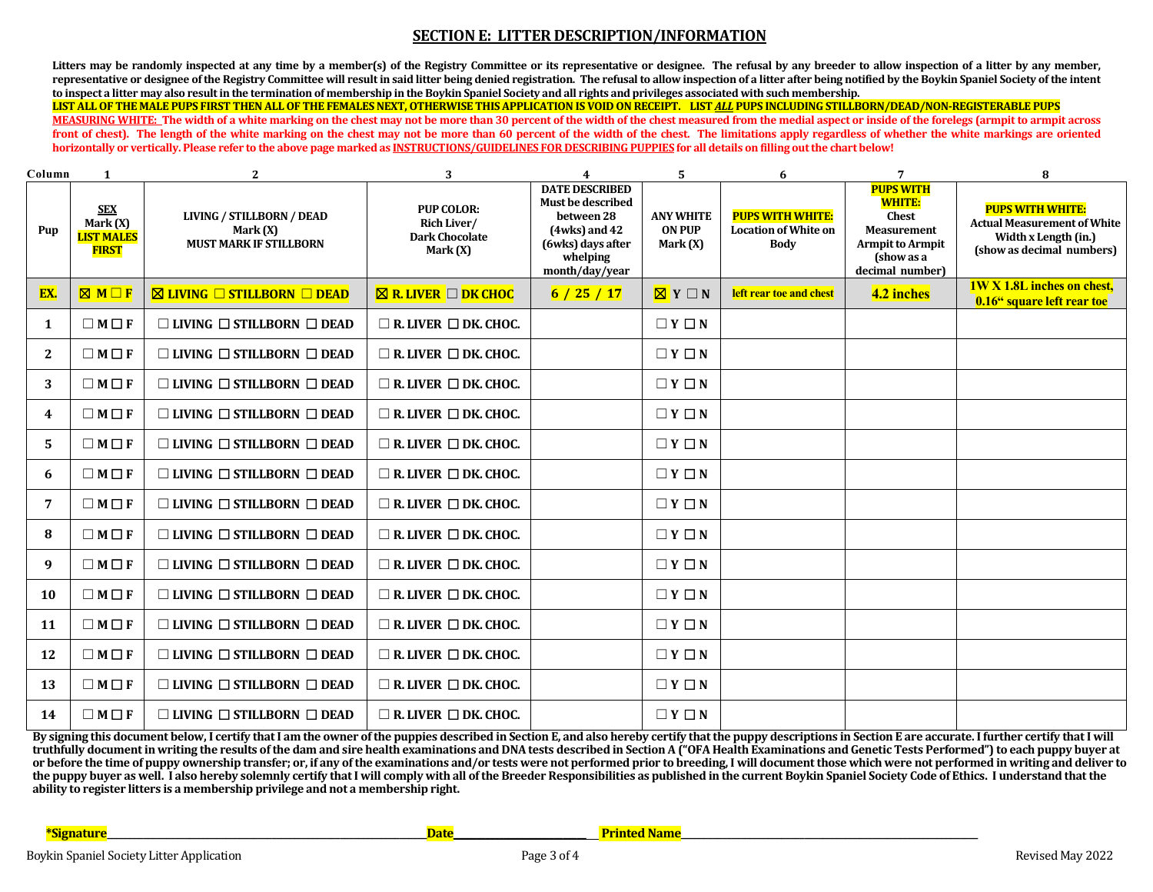### **SECTION E: LITTER DESCRIPTION/INFORMATION**

Litters may be randomly inspected at any time by a member(s) of the Registry Committee or its representative or designee. The refusal by any breeder to allow inspection of a litter by any member, **representative or designee of the Registry Committee will result in said litter being denied registration. The refusal to allow inspection of a litter after being notified by the Boykin Spaniel Society of the intent to inspect a litter may also result in the termination of membership in the Boykin Spaniel Society and all rights and privileges associated with such membership.** 

**LIST ALL OF THE MALE PUPS FIRST THEN ALL OF THE FEMALES NEXT, OTHERWISE THIS APPLICATION IS VOID ON RECEIPT. LIST** *ALL* **PUPS INCLUDING STILLBORN/DEAD/NON-REGISTERABLE PUPS MEASURING WHITE: The width of a white marking on the chest may not be more than 30 percent of the width of the chest measured from the medial aspect or inside of the forelegs (armpit to armpit across front of chest). The length of the white marking on the chest may not be more than 60 percent of the width of the chest. The limitations apply regardless of whether the white markings are oriented horizontally or vertically. Please refer to the above page marked as INSTRUCTIONS/GUIDELINES FOR DESCRIBING PUPPIES for all details on filling out the chart below!**

| Column       | 1                                                             | $\mathbf{2}$                                                                  | 3                                                                       | 4                                                                                                                            | 5                                               | 6                                                                     | 7                                                                                                                                   | 8                                                                                                                  |
|--------------|---------------------------------------------------------------|-------------------------------------------------------------------------------|-------------------------------------------------------------------------|------------------------------------------------------------------------------------------------------------------------------|-------------------------------------------------|-----------------------------------------------------------------------|-------------------------------------------------------------------------------------------------------------------------------------|--------------------------------------------------------------------------------------------------------------------|
| Pup          | <b>SEX</b><br>Mark $(X)$<br><b>LIST MALES</b><br><b>FIRST</b> | <b>LIVING / STILLBORN / DEAD</b><br>Mark (X)<br><b>MUST MARK IF STILLBORN</b> | <b>PUP COLOR:</b><br>Rich Liver/<br><b>Dark Chocolate</b><br>Mark $(X)$ | <b>DATE DESCRIBED</b><br>Must be described<br>between 28<br>(4wks) and 42<br>(6wks) days after<br>whelping<br>month/day/year | <b>ANY WHITE</b><br><b>ON PUP</b><br>Mark $(X)$ | <b>PUPS WITH WHITE:</b><br><b>Location of White on</b><br><b>Body</b> | <b>PUPS WITH</b><br><b>WHITE:</b><br><b>Chest</b><br><b>Measurement</b><br><b>Armpit to Armpit</b><br>(show as a<br>decimal number) | <b>PUPS WITH WHITE:</b><br><b>Actual Measurement of White</b><br>Width x Length (in.)<br>(show as decimal numbers) |
| EX.          | $M \Box F$                                                    | $\boxtimes$ Living $\Box$ Stillborn $\Box$ DEAD                               | $\boxtimes$ R. LIVER $\Box$ DK CHOC                                     | 6/25/17                                                                                                                      | $\boxed{\boxtimes}$ Y $\Box$ N                  | <b>left rear toe and chest</b>                                        | 4.2 inches                                                                                                                          | <b>1W X 1.8L inches on chest,</b><br>0.16" square left rear toe                                                    |
| -1           | $\Box M \Box F$                                               | $\Box$ LIVING $\Box$ STILLBORN $\Box$ DEAD                                    | $\Box$ R. LIVER $\Box$ DK. CHOC.                                        |                                                                                                                              | $\Box Y \Box N$                                 |                                                                       |                                                                                                                                     |                                                                                                                    |
| $\mathbf{2}$ | $\Box M \Box F$                                               | $\Box$ LIVING $\Box$ STILLBORN $\Box$ DEAD                                    | $\Box$ R. LIVER $\Box$ DK. CHOC.                                        |                                                                                                                              | $\Box Y \Box N$                                 |                                                                       |                                                                                                                                     |                                                                                                                    |
| 3            | $\Box M \Box F$                                               | $\Box$ LIVING $\Box$ STILLBORN $\Box$ DEAD                                    | $\Box$ R. LIVER $\Box$ DK. CHOC.                                        |                                                                                                                              | $\Box Y \Box N$                                 |                                                                       |                                                                                                                                     |                                                                                                                    |
| 4            | $\Box M \Box F$                                               | $\Box$ LIVING $\Box$ STILLBORN $\Box$ DEAD                                    | $\Box$ R. LIVER $\Box$ DK. CHOC.                                        |                                                                                                                              | $\Box Y \Box N$                                 |                                                                       |                                                                                                                                     |                                                                                                                    |
| 5            | $\Box M \Box F$                                               | $\Box$ LIVING $\Box$ STILLBORN $\Box$ DEAD                                    | $\Box$ R. LIVER $\Box$ DK. CHOC.                                        |                                                                                                                              | $\Box Y \Box N$                                 |                                                                       |                                                                                                                                     |                                                                                                                    |
| 6            | $\Box M \Box F$                                               | $\Box$ LIVING $\Box$ STILLBORN $\Box$ DEAD                                    | $\Box$ R. LIVER $\Box$ DK. CHOC.                                        |                                                                                                                              | $\Box Y \Box N$                                 |                                                                       |                                                                                                                                     |                                                                                                                    |
| 7            | $\Box M \Box F$                                               | $\Box$ LIVING $\Box$ STILLBORN $\Box$ DEAD                                    | $\Box$ R. LIVER $\Box$ DK. CHOC.                                        |                                                                                                                              | $\Box Y \Box N$                                 |                                                                       |                                                                                                                                     |                                                                                                                    |
| 8            | $\Box M \Box F$                                               | $\Box$ LIVING $\Box$ STILLBORN $\Box$ DEAD                                    | $\Box$ R. LIVER $\Box$ DK. CHOC.                                        |                                                                                                                              | $\Box Y \Box N$                                 |                                                                       |                                                                                                                                     |                                                                                                                    |
| 9            | $\Box M \Box F$                                               | $\Box$ LIVING $\Box$ STILLBORN $\Box$ DEAD                                    | $\Box$ R. LIVER $\Box$ DK. CHOC.                                        |                                                                                                                              | $\Box Y \Box N$                                 |                                                                       |                                                                                                                                     |                                                                                                                    |
| 10           | $\Box M \Box F$                                               | $\Box$ LIVING $\Box$ STILLBORN $\Box$ DEAD                                    | $\Box$ R. LIVER $\Box$ DK. CHOC.                                        |                                                                                                                              | $\Box Y \Box N$                                 |                                                                       |                                                                                                                                     |                                                                                                                    |
| 11           | $\Box M \Box F$                                               | $\Box$ LIVING $\Box$ STILLBORN $\Box$ DEAD                                    | $\Box$ R. LIVER $\Box$ DK. CHOC.                                        |                                                                                                                              | $\Box Y \Box N$                                 |                                                                       |                                                                                                                                     |                                                                                                                    |
| 12           | $\Box M \Box F$                                               | $\Box$ LIVING $\Box$ STILLBORN $\Box$ DEAD                                    | $\Box$ R. LIVER $\Box$ DK. CHOC.                                        |                                                                                                                              | $\Box Y \Box N$                                 |                                                                       |                                                                                                                                     |                                                                                                                    |
| 13           | $\Box M \Box F$                                               | $\Box$ LIVING $\Box$ STILLBORN $\Box$ DEAD                                    | $\Box$ R. LIVER $\Box$ DK. CHOC.                                        |                                                                                                                              | $\Box Y \Box N$                                 |                                                                       |                                                                                                                                     |                                                                                                                    |
| 14           | $\Box M \Box F$                                               | $\Box$ LIVING $\Box$ STILLBORN $\Box$ DEAD                                    | $\Box$ R. LIVER $\Box$ DK. CHOC.                                        |                                                                                                                              | $\Box Y \Box N$                                 |                                                                       |                                                                                                                                     |                                                                                                                    |

**By signing this document below, I certify that I am the owner of the puppies described in Section E, and also hereby certify that the puppy descriptions in Section E are accurate. I further certify that I will truthfully document in writing the results of the dam and sire health examinations and DNA tests described in Section A ("OFA Health Examinations and Genetic Tests Performed") to each puppy buyer at**  or before the time of puppy ownership transfer; or, if any of the examinations and/or tests were not performed prior to breeding, I will document those which were not performed in writing and deliver to **the puppy buyer as well. I also hereby solemnly certify that I will comply with all of the Breeder Responsibilities as published in the current Boykin Spaniel Society Code of Ethics. I understand that the ability to register litters is a membership privilege and not a membership right.**

**\*Signature\_\_\_\_\_\_\_\_\_\_\_\_\_\_\_\_\_\_\_\_\_\_\_\_\_\_\_\_\_\_\_\_\_\_\_\_\_\_\_\_\_\_\_\_\_\_\_\_\_\_\_\_\_\_\_\_\_\_\_\_\_\_\_\_\_\_\_\_\_\_Date\_\_\_\_\_\_\_\_\_\_\_\_\_\_\_\_\_\_\_\_\_\_\_\_\_\_\_\_\_ Printed Name\_\_\_\_\_\_\_\_\_\_\_\_\_\_\_\_\_\_\_\_\_\_\_\_\_\_\_\_\_\_\_\_\_\_\_\_\_\_\_\_\_\_\_\_\_\_\_\_\_\_\_\_\_\_\_\_\_\_\_\_\_\_\_\_\_**